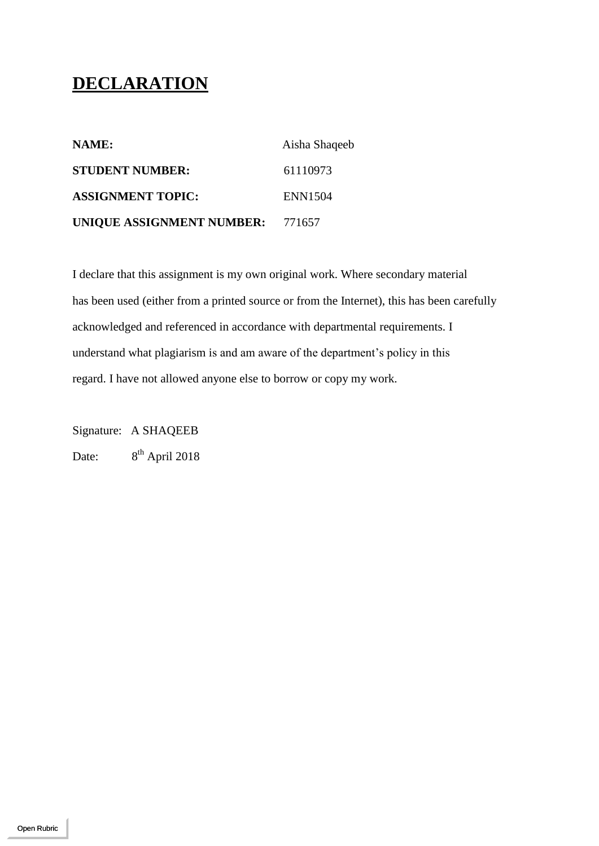## **DECLARATION**

| NAME:                            | Aisha Shaqeeb |
|----------------------------------|---------------|
| <b>STUDENT NUMBER:</b>           | 61110973      |
| <b>ASSIGNMENT TOPIC:</b>         | ENN1504       |
| UNIQUE ASSIGNMENT NUMBER: 771657 |               |

I declare that this assignment is my own original work. Where secondary material has been used (either from a printed source or from the Internet), this has been carefully acknowledged and referenced in accordance with departmental requirements. I understand what plagiarism is and am aware of the department's policy in this regard. I have not allowed anyone else to borrow or copy my work.

Signature: A SHAQEEB

Date:  $8<sup>th</sup>$  April 2018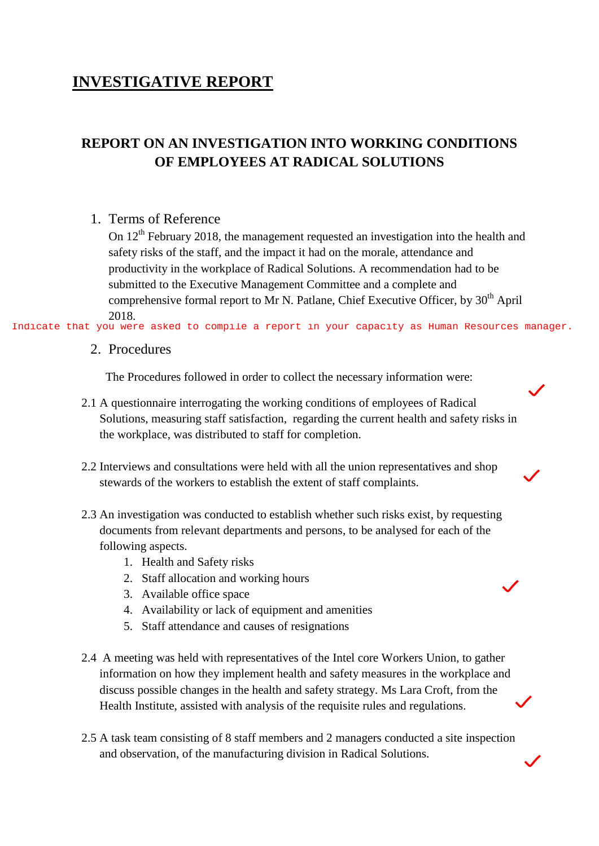## **INVESTIGATIVE REPORT**

## **REPORT ON AN INVESTIGATION INTO WORKING CONDITIONS OF EMPLOYEES AT RADICAL SOLUTIONS**

#### 1. Terms of Reference

On 12<sup>th</sup> February 2018, the management requested an investigation into the health and safety risks of the staff, and the impact it had on the morale, attendance and productivity in the workplace of Radical Solutions. A recommendation had to be submitted to the Executive Management Committee and a complete and comprehensive formal report to Mr N. Patlane, Chief Executive Officer, by  $30<sup>th</sup>$  April 2018.

Indicate that you were asked to compile a report in your capacity as Human Resources manager.

#### 2. Procedures

The Procedures followed in order to collect the necessary information were:

- 2.1 A questionnaire interrogating the working conditions of employees of Radical Solutions, measuring staff satisfaction, regarding the current health and safety risks in the workplace, was distributed to staff for completion.
- 2.2 Interviews and consultations were held with all the union representatives and shop stewards of the workers to establish the extent of staff complaints.
- 2.3 An investigation was conducted to establish whether such risks exist, by requesting documents from relevant departments and persons, to be analysed for each of the following aspects.
	- 1. Health and Safety risks
	- 2. Staff allocation and working hours
	- 3. Available office space
	- 4. Availability or lack of equipment and amenities
	- 5. Staff attendance and causes of resignations
- 2.4 A meeting was held with representatives of the Intel core Workers Union, to gather information on how they implement health and safety measures in the workplace and discuss possible changes in the health and safety strategy. Ms Lara Croft, from the Health Institute, assisted with analysis of the requisite rules and regulations.
- 2.5 A task team consisting of 8 staff members and 2 managers conducted a site inspection and observation, of the manufacturing division in Radical Solutions.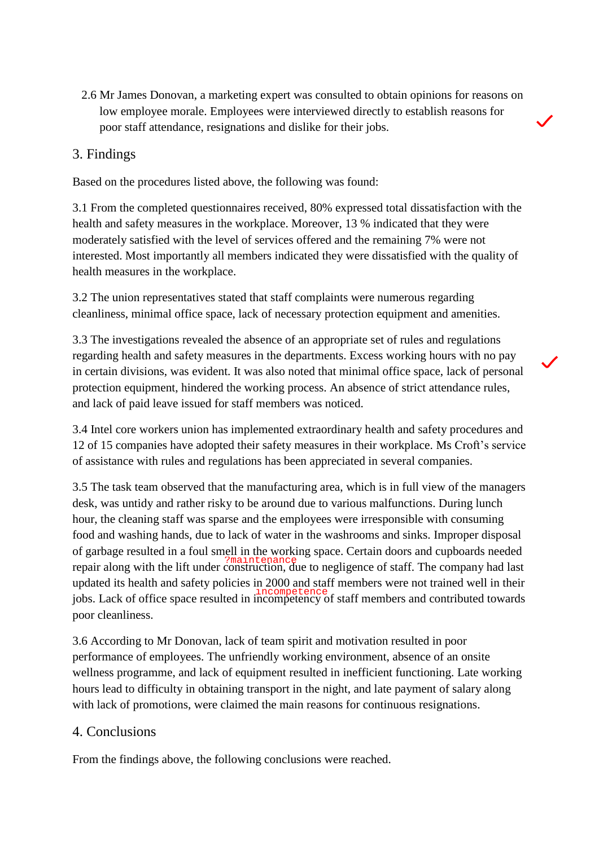2.6 Mr James Donovan, a marketing expert was consulted to obtain opinions for reasons on low employee morale. Employees were interviewed directly to establish reasons for poor staff attendance, resignations and dislike for their jobs.

#### 3. Findings

Based on the procedures listed above, the following was found:

3.1 From the completed questionnaires received, 80% expressed total dissatisfaction with the health and safety measures in the workplace. Moreover, 13 % indicated that they were moderately satisfied with the level of services offered and the remaining 7% were not interested. Most importantly all members indicated they were dissatisfied with the quality of health measures in the workplace.

3.2 The union representatives stated that staff complaints were numerous regarding cleanliness, minimal office space, lack of necessary protection equipment and amenities.

3.3 The investigations revealed the absence of an appropriate set of rules and regulations regarding health and safety measures in the departments. Excess working hours with no pay in certain divisions, was evident. It was also noted that minimal office space, lack of personal protection equipment, hindered the working process. An absence of strict attendance rules, and lack of paid leave issued for staff members was noticed.

3.4 Intel core workers union has implemented extraordinary health and safety procedures and 12 of 15 companies have adopted their safety measures in their workplace. Ms Croft's service of assistance with rules and regulations has been appreciated in several companies.

3.5 The task team observed that the manufacturing area, which is in full view of the managers desk, was untidy and rather risky to be around due to various malfunctions. During lunch hour, the cleaning staff was sparse and the employees were irresponsible with consuming food and washing hands, due to lack of water in the washrooms and sinks. Improper disposal of garbage resulted in a foul smell in the working space. Certain doors and cupboards needed repair along with the lift under construction, due to negligence of staff. The company had last updated its health and safety policies in 2000 and staff members were not trained well in their incompetence<br>jobs. Lack of office space resulted in incompetency of staff members and contributed towards poor cleanliness.

3.6 According to Mr Donovan, lack of team spirit and motivation resulted in poor performance of employees. The unfriendly working environment, absence of an onsite wellness programme, and lack of equipment resulted in inefficient functioning. Late working hours lead to difficulty in obtaining transport in the night, and late payment of salary along with lack of promotions, were claimed the main reasons for continuous resignations.

### 4. Conclusions

From the findings above, the following conclusions were reached.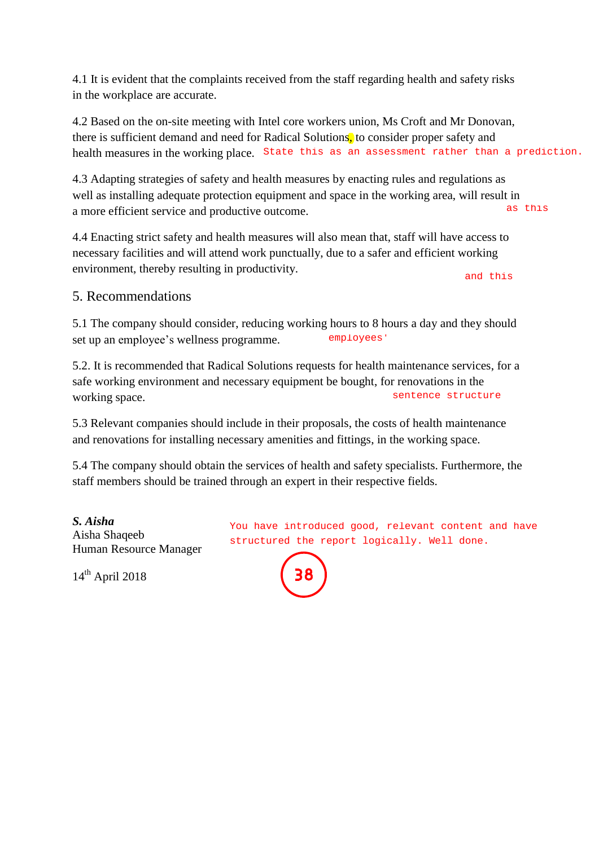4.1 It is evident that the complaints received from the staff regarding health and safety risks in the workplace are accurate.

4.2 Based on the on-site meeting with Intel core workers union, Ms Croft and Mr Donovan, there is sufficient demand and need for Radical Solutions, to consider proper safety and health measures in the working place. State this as an assessment rather than a prediction.

4.3 Adapting strategies of safety and health measures by enacting rules and regulations as well as installing adequate protection equipment and space in the working area, will result in a more efficient service and productive outcome. as this

4.4 Enacting strict safety and health measures will also mean that, staff will have access to necessary facilities and will attend work punctually, due to a safer and efficient working environment, thereby resulting in productivity.

and this

#### 5. Recommendations

5.1 The company should consider, reducing working hours to 8 hours a day and they should set up an employee's wellness programme. employees'

5.2. It is recommended that Radical Solutions requests for health maintenance services, for a safe working environment and necessary equipment be bought, for renovations in the working space. sentence structure

5.3 Relevant companies should include in their proposals, the costs of health maintenance and renovations for installing necessary amenities and fittings, in the working space.

5.4 The company should obtain the services of health and safety specialists. Furthermore, the staff members should be trained through an expert in their respective fields.

*S. Aisha*  Aisha Shaqeeb Human Resource Manager

 $14<sup>th</sup>$  April 2018

You have introduced good, relevant content and have structured the report logically. Well done.